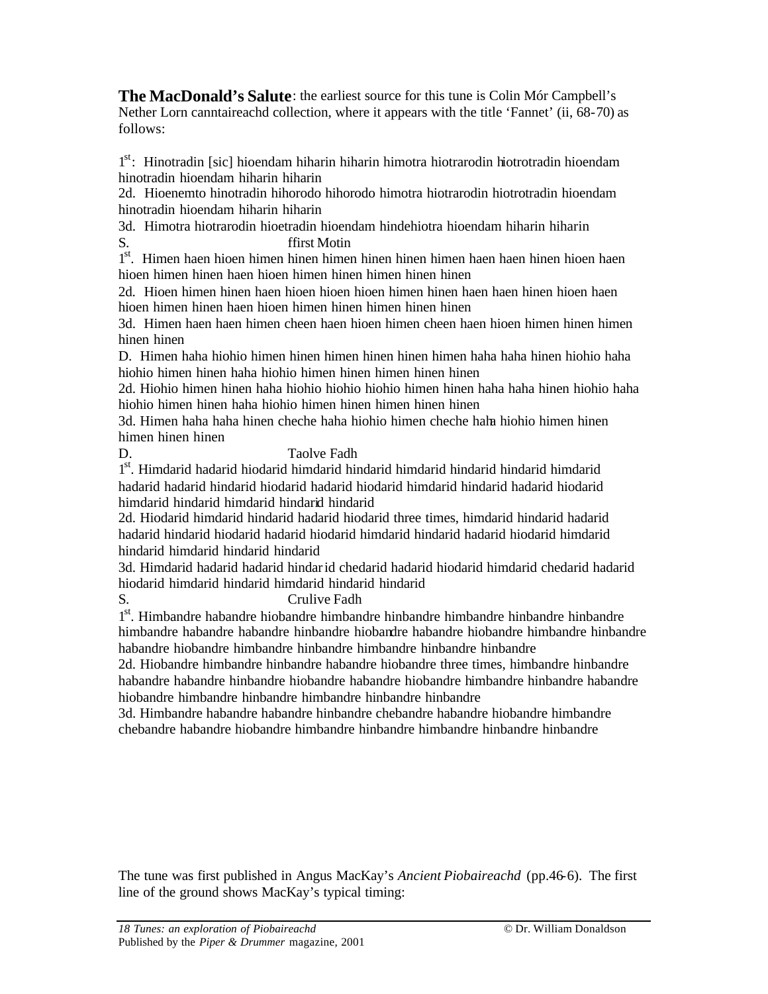**The MacDonald's Salute**: the earliest source for this tune is Colin Mór Campbell's Nether Lorn canntaireachd collection, where it appears with the title 'Fannet' (ii, 68-70) as follows:

1<sup>st</sup>: Hinotradin [sic] hioendam hiharin hiharin himotra hiotrarodin hiotrotradin hioendam hinotradin hioendam hiharin hiharin

2d. Hioenemto hinotradin hihorodo hihorodo himotra hiotrarodin hiotrotradin hioendam hinotradin hioendam hiharin hiharin

3d. Himotra hiotrarodin hioetradin hioendam hindehiotra hioendam hiharin hiharin S. ffirst Motin

1<sup>st</sup>. Himen haen hioen himen hinen himen hinen himen haen haen hinen hioen haen hioen himen hinen haen hioen himen hinen himen hinen hinen

2d. Hioen himen hinen haen hioen hioen hioen himen hinen haen haen hinen hioen haen hioen himen hinen haen hioen himen hinen himen hinen hinen

3d. Himen haen haen himen cheen haen hioen himen cheen haen hioen himen hinen himen hinen hinen

D. Himen haha hiohio himen hinen himen hinen hinen himen haha haha hinen hiohio haha hiohio himen hinen haha hiohio himen hinen himen hinen hinen

2d. Hiohio himen hinen haha hiohio hiohio hiohio himen hinen haha haha hinen hiohio haha hiohio himen hinen haha hiohio himen hinen himen hinen hinen

3d. Himen haha haha hinen cheche haha hiohio himen cheche haha hiohio himen hinen himen hinen hinen

D. Taolve Fadh

1<sup>st</sup>. Himdarid hadarid hiodarid himdarid hindarid himdarid hindarid himdarid hadarid hadarid hindarid hiodarid hadarid hiodarid himdarid hindarid hadarid hiodarid himdarid hindarid himdarid hindarid hindarid

2d. Hiodarid himdarid hindarid hadarid hiodarid three times, himdarid hindarid hadarid hadarid hindarid hiodarid hadarid hiodarid himdarid hindarid hadarid hiodarid himdarid hindarid himdarid hindarid hindarid

3d. Himdarid hadarid hadarid hindarid chedarid hadarid hiodarid himdarid chedarid hadarid hiodarid himdarid hindarid himdarid hindarid hindarid

S. Crulive Fadh

1<sup>st</sup>. Himbandre habandre hiobandre himbandre hinbandre hinbandre hinbandre hinbandre himbandre habandre habandre hinbandre hiobandre habandre hiobandre himbandre hinbandre habandre hiobandre himbandre hinbandre himbandre hinbandre hinbandre

2d. Hiobandre himbandre hinbandre habandre hiobandre three times, himbandre hinbandre habandre habandre hinbandre hiobandre habandre hiobandre himbandre hinbandre habandre hiobandre himbandre hinbandre himbandre hinbandre hinbandre

3d. Himbandre habandre habandre hinbandre chebandre habandre hiobandre himbandre chebandre habandre hiobandre himbandre hinbandre himbandre hinbandre hinbandre

The tune was first published in Angus MacKay's *Ancient Piobaireachd* (pp.46-6). The first line of the ground shows MacKay's typical timing: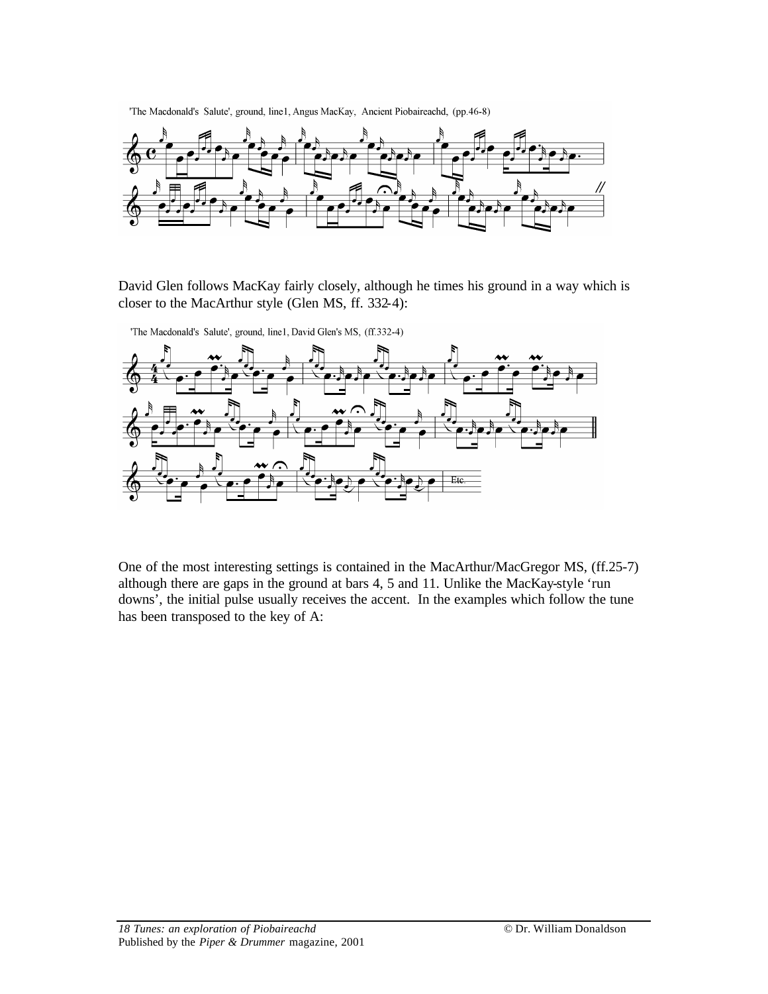'The Macdonald's Salute', ground, line1, Angus MacKay, Ancient Piobaireachd, (pp.46-8)



David Glen follows MacKay fairly closely, although he times his ground in a way which is closer to the MacArthur style (Glen MS, ff. 332-4):



'The Macdonald's Salute', ground, line1, David Glen's MS, (ff.332-4)

One of the most interesting settings is contained in the MacArthur/MacGregor MS, (ff.25-7) although there are gaps in the ground at bars 4, 5 and 11. Unlike the MacKay-style 'run downs', the initial pulse usually receives the accent. In the examples which follow the tune has been transposed to the key of A: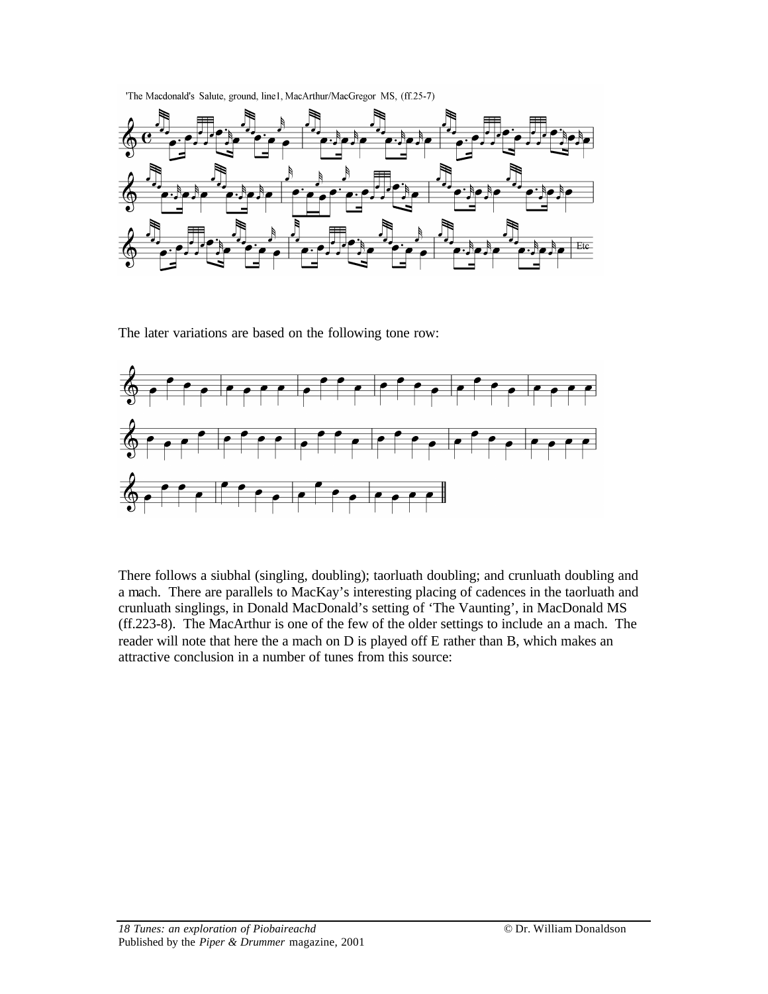'The Macdonald's Salute, ground, line1, MacArthur/MacGregor MS, (ff.25-7)



The later variations are based on the following tone row:



There follows a siubhal (singling, doubling); taorluath doubling; and crunluath doubling and a mach. There are parallels to MacKay's interesting placing of cadences in the taorluath and crunluath singlings, in Donald MacDonald's setting of 'The Vaunting', in MacDonald MS (ff.223-8). The MacArthur is one of the few of the older settings to include an a mach. The reader will note that here the a mach on D is played off E rather than B, which makes an attractive conclusion in a number of tunes from this source: